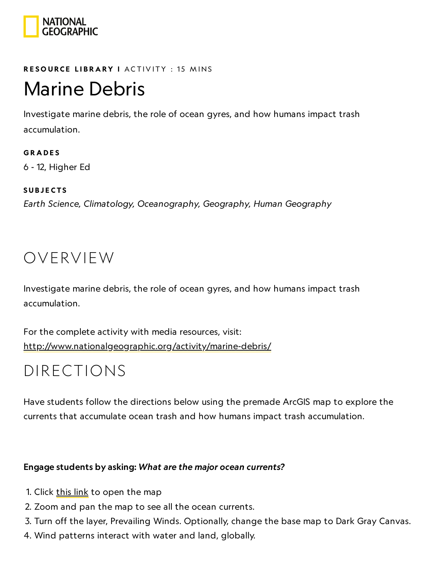

### RESOURCE LIBRA[RY](https://www.nationalgeographic.org/education/resource-library/) I ACTIVITY : 15 MINS

## Marine Debris

Investigate marine debris, the role of ocean gyres, and how humans impact trash accumulation.

**GRADES** 6 - 12, Higher Ed

**SUBJECTS** 

Earth Science, Climatology, Oceanography, Geography, Human Geography

## OVERVIEW

Investigate marine debris, the role of ocean gyres, and how humans impact trash accumulation.

For the complete activity with media resources, visit: <http://www.nationalgeographic.org/activity/marine-debris/>

## DIRECTIONS

Have students follow the directions below using the premade ArcGIS map to explore the currents that accumulate ocean trash and how humans impact trash accumulation.

### Engage students by asking: What are the major ocean currents?

- 1. Click [this](http://education.maps.arcgis.com/home/webmap/viewer.html?webmap=8eb926b611f94a2a90744dbaf3121f56) link to open the map
- 2. Zoom and pan the map to see all the ocean currents.
- 3. Turn off the layer, Prevailing Winds. Optionally, change the base map to Dark Gray Canvas.
- 4. Wind patterns interact with water and land, globally.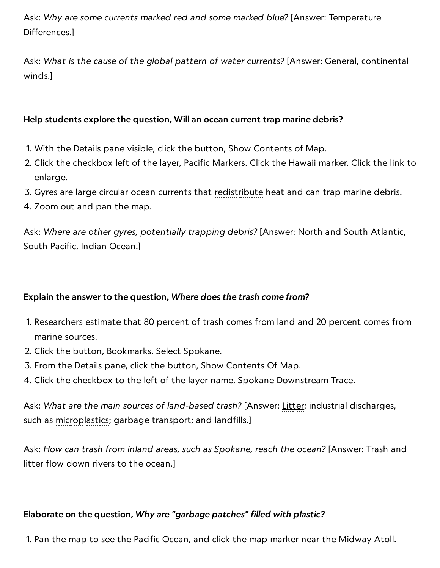Ask: Why are some currents marked red and some marked blue? [Answer: Temperature Differences.]

Ask: What is the cause of the global pattern of water currents? [Answer: General, continental winds.]

### Help students explore the question, Will an ocean current trap marine debris?

- 1. With the Details pane visible, click the button, Show Contents of Map.
- 2. Click the checkbox left of the layer, Pacific Markers. Click the Hawaii marker. Click the link to enlarge.
- 3. Gyres are large circular ocean currents that <u>redistribute</u> heat and can trap marine debris.
- 4. Zoom out and pan the map.

Ask: Where are other gyres, potentially trapping debris? [Answer: North and South Atlantic, South Pacific, Indian Ocean.]

### Explain the answer to the question, Where does the trash come from?

- 1. Researchers estimate that 80 percent of trash comes from land and 20 percent comes from marine sources.
- 2. Click the button, Bookmarks. Select Spokane.
- 3. From the Details pane, click the button, Show Contents Of Map.
- 4. Click the checkbox to the left of the layer name, Spokane Downstream Trace.

Ask: What are the main sources of land-based trash? [Answer: Litter; industrial discharges, such as **microplastics**; garbage transport; and landfills.]

Ask: How can trash from inland areas, such as Spokane, reach the ocean? [Answer: Trash and litter flow down rivers to the ocean.]

### Elaborate on the question, Why are "garbage patches" filled with plastic?

1. Pan the map to see the Pacific Ocean, and click the map marker near the Midway Atoll.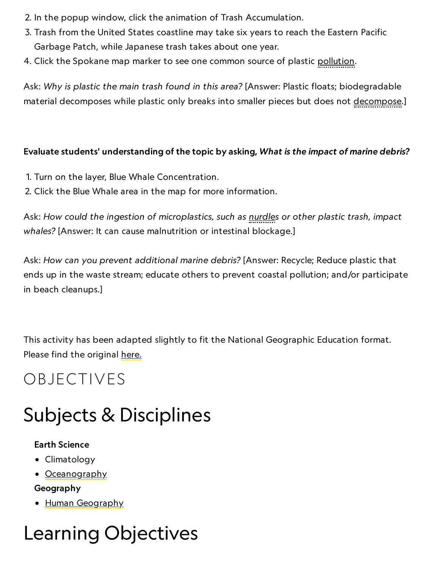- 2. In the popup window, click the animation of Trash Accumulation.
	- 3. Trash from the United States coastline may take six years to reach the Eastern Pacific Garbage Patch, while Japanese trash takes about one year.
- 4. Click the Spokane map marker to see one common source of plastic pollution.

Ask: Why is plastic the main trash found in this area? [Answer: Plastic floats; biodegradable material decomposes while plastic only breaks into smaller pieces but does not decompose.]

### Evaluate students' understanding of the topic by asking, What is the impact of marine debris?

- 1. Turn on the layer, Blue Whale Concentration.
- 2. Click the Blue Whale area in the map for more information.

Ask: How could the ingestion of microplastics, such as nurdles or other plastic trash, impact whales? [Answer: It can cause malnutrition or intestinal blockage.]

Ask: How can you prevent additional marine debris? [Answer: Recycle; Reduce plastic that ends up in the waste stream; educate others to prevent coastal pollution; and/or participate in beach cleanups.]

This activity has been adapted slightly to fit the National Geographic Education format. Please find the original [here.](https://ago-item-storage.s3.us-east-1.amazonaws.com/09a86fb23a3d425085f612dd6a2d6449/9_MarineDebris_APES_Geoinquiry.pdf?X-Amz-Security-Token=AgoJb3JpZ2luX2VjEL7%2F%2F%2F%2F%2F%2F%2F%2F%2F%2FwEaCXVzLWVhc3QtMSJHMEUCIQDgecLrAYOUikjF252I4E5soun15mGqMF4gjhA1wSrVgwIgPW5qH2htnAH5wWq%2FJ1vosYPxsxeHD5wTiLV8uVw5esEq2gMIFxAAGgw2MDQ3NTgxMDI2NjUiDPugV6uEK7b%2BWzywJiq3A64vZfhmDGoXdt9WDZdHi46AqfW%2FcvQEPS7GW%2BxC39WZUd0q2114emzb2Dma8NbM2egKOtPJccdbkUMSuVuKj8KIrdL6Kkp%2Fly%2B%2Fw2DA2R%2BPVXsTbgGiDag%2B5aA9t%2Fwm2k4KnmQQW8pr%2FWBTKvCwn%2BmHHZlDMk4X1HjSA6sDy36po%2BbTMhq%2FghZ076MlegNVcE99v5UQB3PhalXHnIxzgWXM4PK5X3iP8JWd93TuqHs7Umg14MliCo%2F60Rcp7wMPf1j5O75u8bK0DU%2BVNtWp8u3bdHhr%2BXUOxX77S69JenWJEwPUUUKeTwKPowl6dq5rnBrT9gDOm3C72dJUXzxxRRJ%2FZVG%2BXulAPQAft3q8hhVDmCPLvgpAu%2FfCSD7uqga1Kkod1I6Q2hEHG4A%2BT0nDNStPRCzNdqkmmMZkGStQUK7yzDl226qaKslvveVTW89g1BMV9tG1vPfH1ic1q%2FJVP0hmmQJDzBpiD15B6nYrkFSiAwIJonhZd8KhFsZpMtX4UGJKmQQnPHB0bsyvGOH6CUjOVs66C7sUNPfep5kNy1u4AhV4kkQ2Y81534Jp6RCA1WoyUSDnlXYw9qP96AU6tAEnZQaYb1CGCtSxLXcM10%2FM9eJpXicb4eetq9djav979Vn4S3cP0Esv3WMf2XRQTbvBV6gurKXYwy04Hye9JrNApHVnbyGlKPJH3c3TUrE%2B5IMV4K51oyiAjwmC2pv4s1gyrQ15yXuvcNBiER0QKDIqAUwbMTMzaSBvcelaRUUVv1CNxDCBNeFRVqC3zj%2BYfMzbI8F1dcZFZHseMMQTHAP1VhpX48DaUMc66vpwcA%2BquS9F4A0%3D&X-Amz-Algorithm=AWS4-HMAC-SHA256&X-Amz-Date=20190705T140349Z&X-Amz-SignedHeaders=host&X-Amz-Expires=299&X-Amz-Credential=ASIAYZTTEKKET75NSG6Y%2F20190705%2Fus-east-1%2Fs3%2Faws4_request&X-Amz-Signature=955cb03125f9737ce0a57dbdb44188d092e94a51e25cba301d9185f597f56f39)

## OBJECTIVES

## Subjects & Disciplines

### Earth Science

- Climatology
- [Oceanography](http://education.nationalgeographic.com/education/encyclopedia/oceanography/?ar_a=1)

### Geography

• Human [Geography](https://www.nationalgeographic.org/encyclopedia/geography/)

## Learning Objectives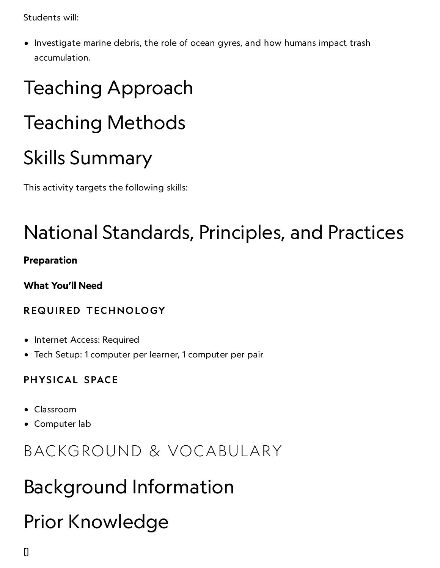$5$ tudents will:  $\frac{1}{2}$   $\frac{1}{2}$   $\frac{1}{2}$   $\frac{1}{2}$   $\frac{1}{2}$   $\frac{1}{2}$   $\frac{1}{2}$   $\frac{1}{2}$   $\frac{1}{2}$   $\frac{1}{2}$   $\frac{1}{2}$   $\frac{1}{2}$   $\frac{1}{2}$   $\frac{1}{2}$   $\frac{1}{2}$   $\frac{1}{2}$   $\frac{1}{2}$   $\frac{1}{2}$   $\frac{1}{2}$   $\frac{1}{2}$   $\frac{1$ 

• Investigate marine debris, the role of ocean gyres, and how humans impact trash accumulation.

# Teaching Approach Teaching Methods Skills Summary

This activity targets the following skills:

# National Standards, Principles, and Practices

### Preparation

What You'll Need

### REQUIRED TECHNOLOGY

- Internet Access: Required
- Tech Setup: 1 computer per learner, 1 computer per pair

### PHYSICAL SPACE

- Classroom
- Computer lab

## BACKGROUND & VOCABULARY

# Background Information

# Prior Knowledge